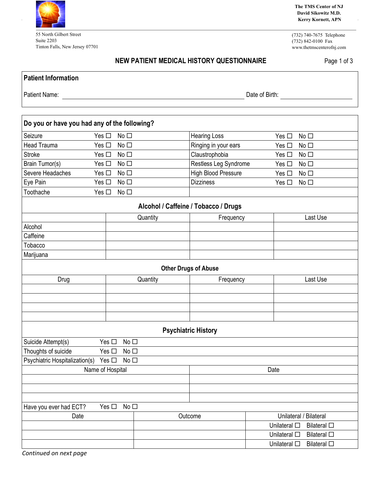

55 North Gilbert Street Suite 2203 Tinton Falls, New Jersey 07701 **The TMS Center of NJ David Sikowitz M.D. Kerry Kornett, APN**

(732) 740-7675 Telephone (732) 842-0100 Fax www.thetmscenterofnj.com

## **NEW PATIENT MEDICAL HISTORY QUESTIONNAIRE** Page 1 of 3

Patient Name: Date of Birth:

| Do you or have you had any of the following?           |                                                                    |           |                            |                        |                    |  |  |
|--------------------------------------------------------|--------------------------------------------------------------------|-----------|----------------------------|------------------------|--------------------|--|--|
| Seizure<br>Yes $\square$                               | No <sub>1</sub>                                                    |           | <b>Hearing Loss</b>        | Yes $\square$          | No <sub>1</sub>    |  |  |
| <b>Head Trauma</b><br>Yes $\square$                    | No <sub>1</sub>                                                    |           | Ringing in your ears       | Yes $\square$          | No <sub>1</sub>    |  |  |
| <b>Stroke</b>                                          | Yes $\square$<br>No <sub>1</sub>                                   |           | Claustrophobia             | Yes $\square$          | No <sub>1</sub>    |  |  |
| Brain Tumor(s)                                         | Yes $\square$<br>No <sub>1</sub>                                   |           | Restless Leg Syndrome      | Yes $\square$          | No <sub>1</sub>    |  |  |
| Severe Headaches<br>Yes $\square$<br>No <sub>1</sub>   |                                                                    |           | <b>High Blood Pressure</b> | Yes $\square$          | No <sub>1</sub>    |  |  |
| Eye Pain<br>Yes $\square$<br>No <sub>1</sub>           |                                                                    |           | <b>Dizziness</b>           | Yes $\square$          | No <sub>1</sub>    |  |  |
| Toothache                                              | Yes $\square$<br>No <sub>1</sub>                                   |           |                            |                        |                    |  |  |
| Alcohol / Caffeine / Tobacco / Drugs                   |                                                                    |           |                            |                        |                    |  |  |
|                                                        |                                                                    | Quantity  | Frequency                  |                        | Last Use           |  |  |
| Alcohol                                                |                                                                    |           |                            |                        |                    |  |  |
| Caffeine                                               |                                                                    |           |                            |                        |                    |  |  |
| Tobacco                                                |                                                                    |           |                            |                        |                    |  |  |
| Marijuana                                              |                                                                    |           |                            |                        |                    |  |  |
| <b>Other Drugs of Abuse</b>                            |                                                                    |           |                            |                        |                    |  |  |
| Drug<br>Quantity                                       |                                                                    | Frequency |                            | Last Use               |                    |  |  |
|                                                        |                                                                    |           |                            |                        |                    |  |  |
|                                                        |                                                                    |           |                            |                        |                    |  |  |
|                                                        |                                                                    |           |                            |                        |                    |  |  |
|                                                        |                                                                    |           |                            |                        |                    |  |  |
| <b>Psychiatric History</b>                             |                                                                    |           |                            |                        |                    |  |  |
| Suicide Attempt(s)<br>No <sub>1</sub><br>Yes $\square$ |                                                                    |           |                            |                        |                    |  |  |
|                                                        | Thoughts of suicide<br>Yes $\square$<br>No <sub>1</sub>            |           |                            |                        |                    |  |  |
|                                                        | Psychiatric Hospitalization(s)<br>Yes $\square$<br>No <sub>1</sub> |           |                            |                        |                    |  |  |
| Name of Hospital                                       |                                                                    |           | Date                       |                        |                    |  |  |
|                                                        |                                                                    |           |                            |                        |                    |  |  |
|                                                        |                                                                    |           |                            |                        |                    |  |  |
|                                                        |                                                                    |           |                            |                        |                    |  |  |
| Yes $\square$<br>Have you ever had ECT?                | No <sub>1</sub>                                                    |           |                            |                        |                    |  |  |
| Date                                                   |                                                                    | Outcome   |                            | Unilateral / Bilateral |                    |  |  |
|                                                        |                                                                    |           |                            | Unilateral $\square$   | <b>Bilateral</b> □ |  |  |
|                                                        |                                                                    |           |                            | Unilateral $\square$   | <b>Bilateral</b> □ |  |  |
|                                                        |                                                                    |           |                            | Unilateral $\square$   | <b>Bilateral</b> □ |  |  |

*Continued on next page*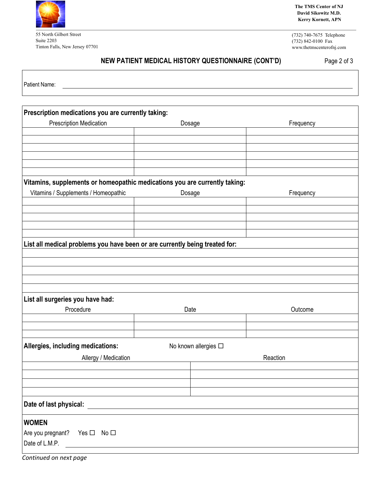

Г

55 North Gilbert Street Suite 2203 Tinton Falls, New Jersey 07701 **The TMS Center of NJ David Sikowitz M.D. Kerry Kornett, APN**

(732) 740-7675 Telephone (732) 842-0100 Fax www.thetmscenterofnj.com

## **NEW PATIENT MEDICAL HISTORY QUESTIONNAIRE (CONT'D)** Page 2 of 3

| Patient Name:                                                               |  |                      |           |  |  |  |
|-----------------------------------------------------------------------------|--|----------------------|-----------|--|--|--|
|                                                                             |  |                      |           |  |  |  |
| Prescription medications you are currently taking:                          |  |                      |           |  |  |  |
| <b>Prescription Medication</b>                                              |  | Dosage               | Frequency |  |  |  |
|                                                                             |  |                      |           |  |  |  |
|                                                                             |  |                      |           |  |  |  |
|                                                                             |  |                      |           |  |  |  |
|                                                                             |  |                      |           |  |  |  |
|                                                                             |  |                      |           |  |  |  |
| Vitamins, supplements or homeopathic medications you are currently taking:  |  |                      |           |  |  |  |
| Vitamins / Supplements / Homeopathic                                        |  | Dosage               | Frequency |  |  |  |
|                                                                             |  |                      |           |  |  |  |
|                                                                             |  |                      |           |  |  |  |
|                                                                             |  |                      |           |  |  |  |
|                                                                             |  |                      |           |  |  |  |
| List all medical problems you have been or are currently being treated for: |  |                      |           |  |  |  |
|                                                                             |  |                      |           |  |  |  |
|                                                                             |  |                      |           |  |  |  |
|                                                                             |  |                      |           |  |  |  |
|                                                                             |  |                      |           |  |  |  |
| List all surgeries you have had:                                            |  |                      |           |  |  |  |
| Procedure                                                                   |  | Date                 | Outcome   |  |  |  |
|                                                                             |  |                      |           |  |  |  |
|                                                                             |  |                      |           |  |  |  |
| Allergies, including medications:                                           |  | No known allergies □ |           |  |  |  |
| Allergy / Medication                                                        |  | Reaction             |           |  |  |  |
|                                                                             |  |                      |           |  |  |  |
|                                                                             |  |                      |           |  |  |  |
|                                                                             |  |                      |           |  |  |  |
|                                                                             |  |                      |           |  |  |  |
| Date of last physical:                                                      |  |                      |           |  |  |  |
| <b>WOMEN</b>                                                                |  |                      |           |  |  |  |
| Are you pregnant? Yes □ No □                                                |  |                      |           |  |  |  |
| Date of L.M.P.<br><u>and the state of the sta</u>                           |  |                      |           |  |  |  |
|                                                                             |  |                      |           |  |  |  |

*Continued on next page*